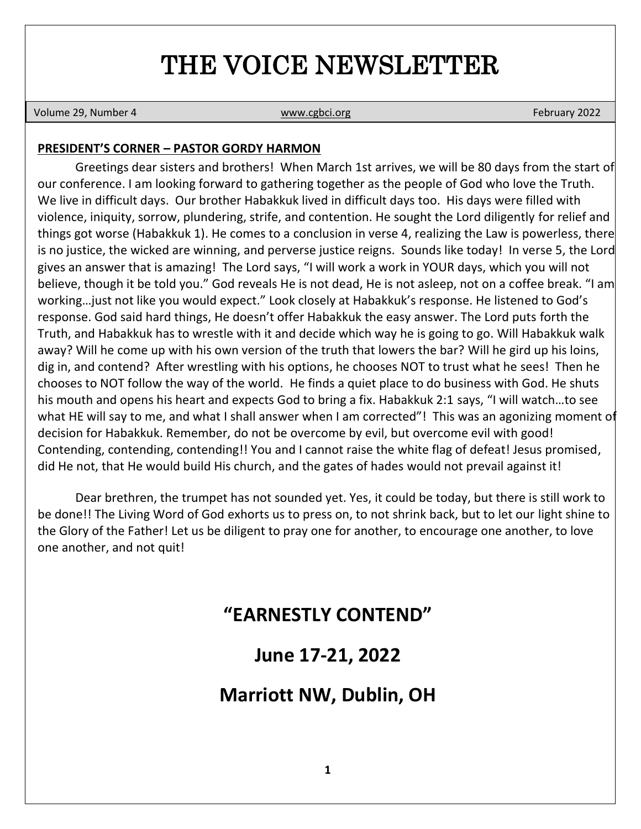# THE VOICE NEWSLETTER

Volume 29, Number 4 **[www.cgbci.org](http://www.cgbci.org/) February 2022** February 2022

#### **PRESIDENT'S CORNER – PASTOR GORDY HARMON**

Greetings dear sisters and brothers! When March 1st arrives, we will be 80 days from the start of our conference. I am looking forward to gathering together as the people of God who love the Truth. We live in difficult days. Our brother Habakkuk lived in difficult days too. His days were filled with violence, iniquity, sorrow, plundering, strife, and contention. He sought the Lord diligently for relief and things got worse (Habakkuk 1). He comes to a conclusion in verse 4, realizing the Law is powerless, there is no justice, the wicked are winning, and perverse justice reigns. Sounds like today! In verse 5, the Lord gives an answer that is amazing! The Lord says, "I will work a work in YOUR days, which you will not believe, though it be told you." God reveals He is not dead, He is not asleep, not on a coffee break. "I am working…just not like you would expect." Look closely at Habakkuk's response. He listened to God's response. God said hard things, He doesn't offer Habakkuk the easy answer. The Lord puts forth the Truth, and Habakkuk has to wrestle with it and decide which way he is going to go. Will Habakkuk walk away? Will he come up with his own version of the truth that lowers the bar? Will he gird up his loins, dig in, and contend? After wrestling with his options, he chooses NOT to trust what he sees! Then he chooses to NOT follow the way of the world. He finds a quiet place to do business with God. He shuts his mouth and opens his heart and expects God to bring a fix. Habakkuk 2:1 says, "I will watch…to see what HE will say to me, and what I shall answer when I am corrected"! This was an agonizing moment of decision for Habakkuk. Remember, do not be overcome by evil, but overcome evil with good! Contending, contending, contending!! You and I cannot raise the white flag of defeat! Jesus promised, did He not, that He would build His church, and the gates of hades would not prevail against it!

Dear brethren, the trumpet has not sounded yet. Yes, it could be today, but there is still work to be done!! The Living Word of God exhorts us to press on, to not shrink back, but to let our light shine to the Glory of the Father! Let us be diligent to pray one for another, to encourage one another, to love one another, and not quit!

## **"EARNESTLY CONTEND"**

## **June 17-21, 2022**

## **Marriott NW, Dublin, OH**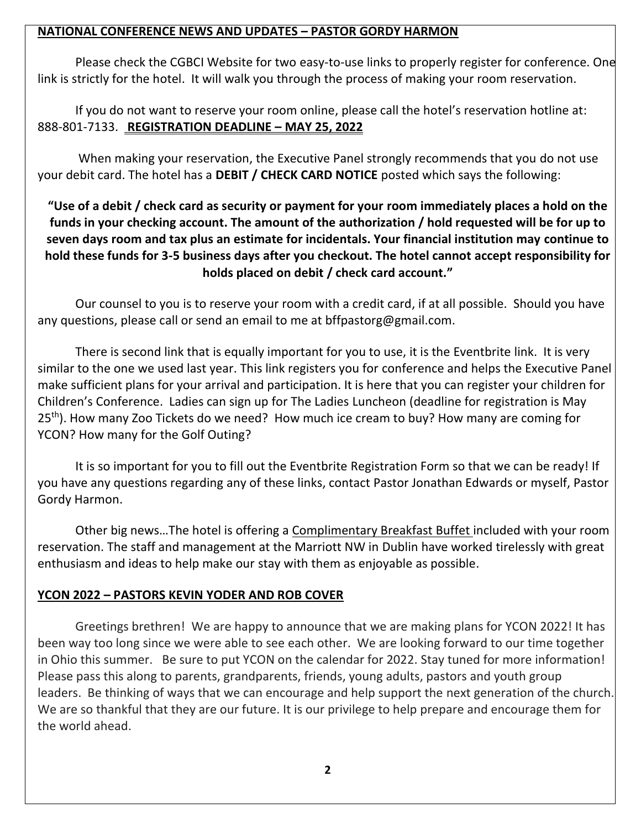#### **NATIONAL CONFERENCE NEWS AND UPDATES – PASTOR GORDY HARMON**

Please check the CGBCI Website for two easy-to-use links to properly register for conference. One link is strictly for the hotel. It will walk you through the process of making your room reservation.

If you do not want to reserve your room online, please call the hotel's reservation hotline at: 888-801-7133. **REGISTRATION DEADLINE – MAY 25, 2022**

When making your reservation, the Executive Panel strongly recommends that you do not use your debit card. The hotel has a **DEBIT / CHECK CARD NOTICE** posted which says the following:

**"Use of a debit / check card as security or payment for your room immediately places a hold on the funds in your checking account. The amount of the authorization / hold requested will be for up to seven days room and tax plus an estimate for incidentals. Your financial institution may continue to hold these funds for 3-5 business days after you checkout. The hotel cannot accept responsibility for holds placed on debit / check card account."**

Our counsel to you is to reserve your room with a credit card, if at all possible. Should you have any questions, please call or send an email to me at bffpastorg@gmail.com.

There is second link that is equally important for you to use, it is the Eventbrite link. It is very similar to the one we used last year. This link registers you for conference and helps the Executive Panel make sufficient plans for your arrival and participation. It is here that you can register your children for Children's Conference. Ladies can sign up for The Ladies Luncheon (deadline for registration is May 25<sup>th</sup>). How many Zoo Tickets do we need? How much ice cream to buy? How many are coming for YCON? How many for the Golf Outing?

It is so important for you to fill out the Eventbrite Registration Form so that we can be ready! If you have any questions regarding any of these links, contact Pastor Jonathan Edwards or myself, Pastor Gordy Harmon.

Other big news…The hotel is offering a Complimentary Breakfast Buffet included with your room reservation. The staff and management at the Marriott NW in Dublin have worked tirelessly with great enthusiasm and ideas to help make our stay with them as enjoyable as possible.

#### **YCON 2022 – PASTORS KEVIN YODER AND ROB COVER**

Greetings brethren! We are happy to announce that we are making plans for YCON 2022! It has been way too long since we were able to see each other. We are looking forward to our time together in Ohio this summer. Be sure to put YCON on the calendar for 2022. Stay tuned for more information! Please pass this along to parents, grandparents, friends, young adults, pastors and youth group leaders. Be thinking of ways that we can encourage and help support the next generation of the church. We are so thankful that they are our future. It is our privilege to help prepare and encourage them for the world ahead.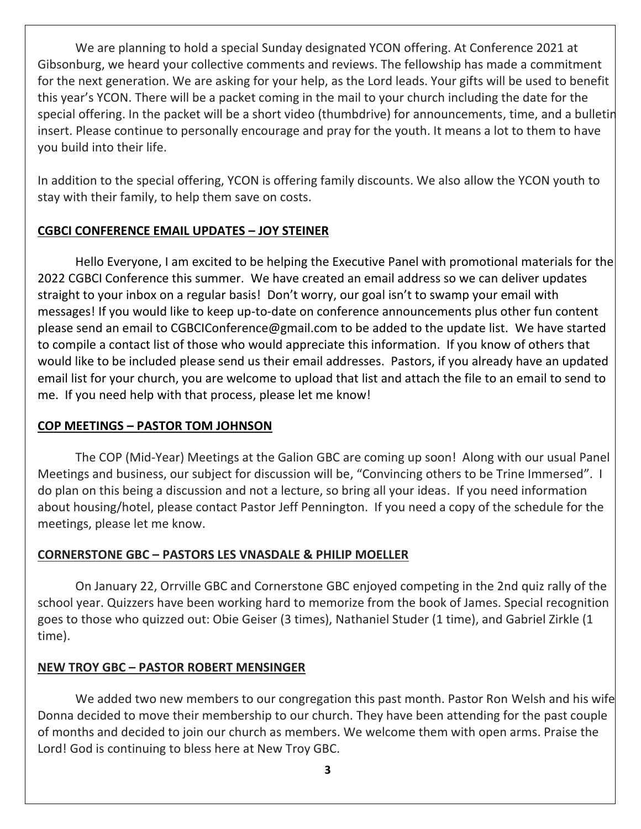We are planning to hold a special Sunday designated YCON offering. At Conference 2021 at Gibsonburg, we heard your collective comments and reviews. The fellowship has made a commitment for the next generation. We are asking for your help, as the Lord leads. Your gifts will be used to benefit this year's YCON. There will be a packet coming in the mail to your church including the date for the special offering. In the packet will be a short video (thumbdrive) for announcements, time, and a bulletin insert. Please continue to personally encourage and pray for the youth. It means a lot to them to have you build into their life.

In addition to the special offering, YCON is offering family discounts. We also allow the YCON youth to stay with their family, to help them save on costs.

#### **CGBCI CONFERENCE EMAIL UPDATES – JOY STEINER**

Hello Everyone, I am excited to be helping the Executive Panel with promotional materials for the 2022 CGBCI Conference this summer. We have created an email address so we can deliver updates straight to your inbox on a regular basis! Don't worry, our goal isn't to swamp your email with messages! If you would like to keep up-to-date on conference announcements plus other fun content please send an email to CGBCIConference@gmail.com to be added to the update list. We have started to compile a contact list of those who would appreciate this information. If you know of others that would like to be included please send us their email addresses. Pastors, if you already have an updated email list for your church, you are welcome to upload that list and attach the file to an email to send to me. If you need help with that process, please let me know!

#### **COP MEETINGS – PASTOR TOM JOHNSON**

The COP (Mid-Year) Meetings at the Galion GBC are coming up soon! Along with our usual Panel Meetings and business, our subject for discussion will be, "Convincing others to be Trine Immersed". I do plan on this being a discussion and not a lecture, so bring all your ideas. If you need information about housing/hotel, please contact Pastor Jeff Pennington. If you need a copy of the schedule for the meetings, please let me know.

#### **CORNERSTONE GBC – PASTORS LES VNASDALE & PHILIP MOELLER**

On January 22, Orrville GBC and Cornerstone GBC enjoyed competing in the 2nd quiz rally of the school year. Quizzers have been working hard to memorize from the book of James. Special recognition goes to those who quizzed out: Obie Geiser (3 times), Nathaniel Studer (1 time), and Gabriel Zirkle (1 time).

#### **NEW TROY GBC – PASTOR ROBERT MENSINGER**

We added two new members to our congregation this past month. Pastor Ron Welsh and his wife Donna decided to move their membership to our church. They have been attending for the past couple of months and decided to join our church as members. We welcome them with open arms. Praise the Lord! God is continuing to bless here at New Troy GBC.